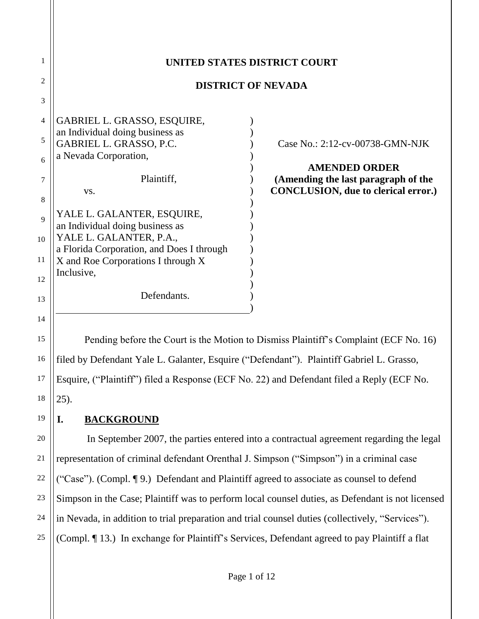| 1              |                                                            | UNITED STATES DISTRICT COURT                                |
|----------------|------------------------------------------------------------|-------------------------------------------------------------|
| $\overline{2}$ | <b>DISTRICT OF NEVADA</b>                                  |                                                             |
| 3              |                                                            |                                                             |
| $\overline{4}$ | GABRIEL L. GRASSO, ESQUIRE,                                |                                                             |
| 5              | an Individual doing business as<br>GABRIEL L. GRASSO, P.C. | Case No.: 2:12-cv-00738-GMN-NJK                             |
| 6              | a Nevada Corporation,                                      |                                                             |
| 7              | Plaintiff,                                                 | <b>AMENDED ORDER</b><br>(Amending the last paragraph of the |
| 8              | VS.                                                        | <b>CONCLUSION, due to clerical error.)</b>                  |
| 9              | YALE L. GALANTER, ESQUIRE,                                 |                                                             |
| 10             | an Individual doing business as<br>YALE L. GALANTER, P.A., |                                                             |
|                | a Florida Corporation, and Does I through                  |                                                             |
| 11             | X and Roe Corporations I through X                         |                                                             |
| 12             | Inclusive,                                                 |                                                             |
| 13             | Defendants.                                                |                                                             |
|                |                                                            |                                                             |

15 16 17 18 Pending before the Court is the Motion to Dismiss Plaintiff's Complaint (ECF No. 16) filed by Defendant Yale L. Galanter, Esquire ("Defendant"). Plaintiff Gabriel L. Grasso, Esquire, ("Plaintiff") filed a Response (ECF No. 22) and Defendant filed a Reply (ECF No. 25).

**I. BACKGROUND**

14

19

20

21

22

23

24

25

In September 2007, the parties entered into a contractual agreement regarding the legal representation of criminal defendant Orenthal J. Simpson ("Simpson") in a criminal case ("Case"). (Compl. ¶ 9.) Defendant and Plaintiff agreed to associate as counsel to defend Simpson in the Case; Plaintiff was to perform local counsel duties, as Defendant is not licensed in Nevada, in addition to trial preparation and trial counsel duties (collectively, "Services"). (Compl. ¶ 13.) In exchange for Plaintiff's Services, Defendant agreed to pay Plaintiff a flat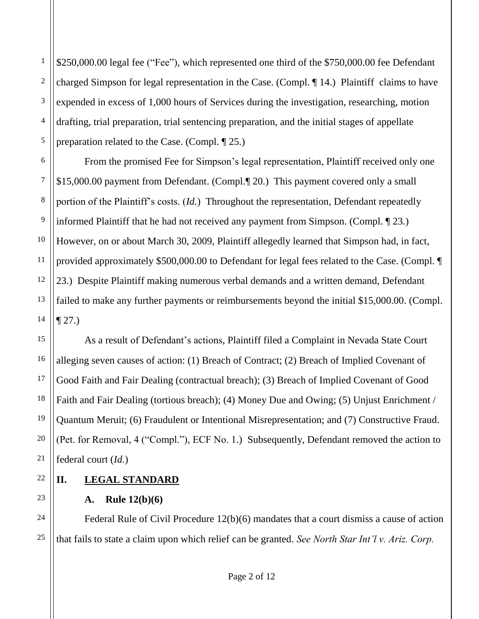2 \$250,000.00 legal fee ("Fee"), which represented one third of the \$750,000.00 fee Defendant charged Simpson for legal representation in the Case. (Compl. ¶ 14.) Plaintiff claims to have expended in excess of 1,000 hours of Services during the investigation, researching, motion drafting, trial preparation, trial sentencing preparation, and the initial stages of appellate preparation related to the Case. (Compl. ¶ 25.)

From the promised Fee for Simpson's legal representation, Plaintiff received only one \$15,000.00 payment from Defendant. (Compl.¶ 20.) This payment covered only a small portion of the Plaintiff's costs. (*Id.*) Throughout the representation, Defendant repeatedly informed Plaintiff that he had not received any payment from Simpson. (Compl. ¶ 23.) However, on or about March 30, 2009, Plaintiff allegedly learned that Simpson had, in fact, provided approximately \$500,000.00 to Defendant for legal fees related to the Case. (Compl. ¶ 23.) Despite Plaintiff making numerous verbal demands and a written demand, Defendant failed to make any further payments or reimbursements beyond the initial \$15,000.00. (Compl.  $\P 27.$ 

As a result of Defendant's actions, Plaintiff filed a Complaint in Nevada State Court alleging seven causes of action: (1) Breach of Contract; (2) Breach of Implied Covenant of Good Faith and Fair Dealing (contractual breach); (3) Breach of Implied Covenant of Good Faith and Fair Dealing (tortious breach); (4) Money Due and Owing; (5) Unjust Enrichment / Quantum Meruit; (6) Fraudulent or Intentional Misrepresentation; and (7) Constructive Fraud. (Pet. for Removal, 4 ("Compl."), ECF No. 1.) Subsequently, Defendant removed the action to federal court (*Id.*)

- **II. LEGAL STANDARD**
	- **A. Rule 12(b)(6)**

Federal Rule of Civil Procedure 12(b)(6) mandates that a court dismiss a cause of action that fails to state a claim upon which relief can be granted. *See North Star Int'l v. Ariz. Corp.*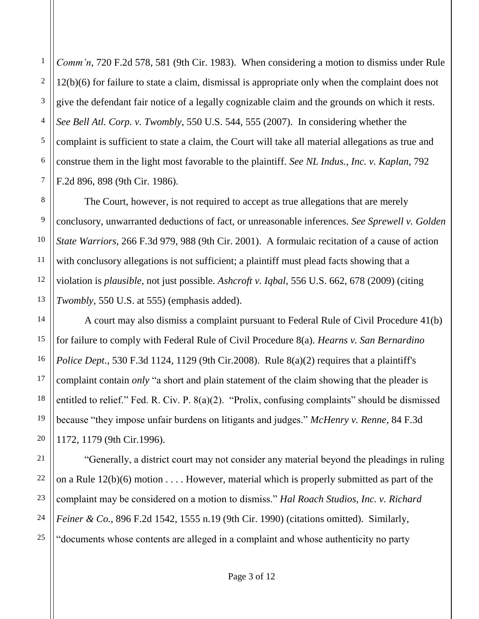1 2 *Comm'n*, 720 F.2d 578, 581 (9th Cir. 1983). When considering a motion to dismiss under Rule 12(b)(6) for failure to state a claim, dismissal is appropriate only when the complaint does not give the defendant fair notice of a legally cognizable claim and the grounds on which it rests. *See Bell Atl. Corp. v. Twombly*, 550 U.S. 544, 555 (2007). In considering whether the complaint is sufficient to state a claim, the Court will take all material allegations as true and construe them in the light most favorable to the plaintiff. *See NL Indus., Inc. v. Kaplan*, 792 F.2d 896, 898 (9th Cir. 1986).

The Court, however, is not required to accept as true allegations that are merely conclusory, unwarranted deductions of fact, or unreasonable inferences. *See Sprewell v. Golden State Warriors*, 266 F.3d 979, 988 (9th Cir. 2001). A formulaic recitation of a cause of action with conclusory allegations is not sufficient; a plaintiff must plead facts showing that a violation is *plausible*, not just possible. *Ashcroft v. Iqbal*, 556 U.S. 662, 678 (2009) (citing *Twombly*, 550 U.S. at 555) (emphasis added).

A court may also dismiss a complaint pursuant to Federal Rule of Civil Procedure 41(b) for failure to comply with Federal Rule of Civil Procedure 8(a). *Hearns v. San Bernardino Police Dept.*, 530 F.3d 1124, 1129 (9th Cir.2008). Rule 8(a)(2) requires that a plaintiff's complaint contain *only* "a short and plain statement of the claim showing that the pleader is entitled to relief." Fed. R. Civ. P. 8(a)(2). "Prolix, confusing complaints" should be dismissed because "they impose unfair burdens on litigants and judges." *McHenry v. Renne*, 84 F.3d 1172, 1179 (9th Cir.1996).

"Generally, a district court may not consider any material beyond the pleadings in ruling on a Rule  $12(b)(6)$  motion . . . . However, material which is properly submitted as part of the complaint may be considered on a motion to dismiss." *Hal Roach Studios, Inc. v. Richard Feiner & Co.*, 896 F.2d 1542, 1555 n.19 (9th Cir. 1990) (citations omitted). Similarly, "documents whose contents are alleged in a complaint and whose authenticity no party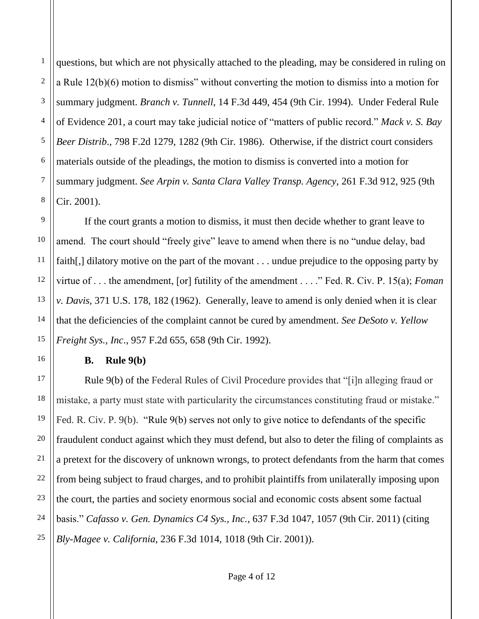1 2 3 4 5 questions, but which are not physically attached to the pleading, may be considered in ruling on a Rule 12(b)(6) motion to dismiss" without converting the motion to dismiss into a motion for summary judgment. *Branch v. Tunnell*, 14 F.3d 449, 454 (9th Cir. 1994). Under Federal Rule of Evidence 201, a court may take judicial notice of "matters of public record." *Mack v. S. Bay Beer Distrib*., 798 F.2d 1279, 1282 (9th Cir. 1986). Otherwise, if the district court considers materials outside of the pleadings, the motion to dismiss is converted into a motion for summary judgment. *See Arpin v. Santa Clara Valley Transp. Agency*, 261 F.3d 912, 925 (9th Cir. 2001).

If the court grants a motion to dismiss, it must then decide whether to grant leave to amend. The court should "freely give" leave to amend when there is no "undue delay, bad faith[,] dilatory motive on the part of the movant . . . undue prejudice to the opposing party by virtue of . . . the amendment, [or] futility of the amendment . . . ." Fed. R. Civ. P. 15(a); *Foman v. Davis*, 371 U.S. 178, 182 (1962). Generally, leave to amend is only denied when it is clear that the deficiencies of the complaint cannot be cured by amendment. *See DeSoto v. Yellow Freight Sys., Inc*., 957 F.2d 655, 658 (9th Cir. 1992).

#### **B. Rule 9(b)**

Rule 9(b) of the Federal Rules of Civil Procedure provides that "[i]n alleging fraud or mistake, a party must state with particularity the circumstances constituting fraud or mistake." Fed. R. Civ. P. 9(b). "Rule 9(b) serves not only to give notice to defendants of the specific fraudulent conduct against which they must defend, but also to deter the filing of complaints as a pretext for the discovery of unknown wrongs, to protect defendants from the harm that comes from being subject to fraud charges, and to prohibit plaintiffs from unilaterally imposing upon the court, the parties and society enormous social and economic costs absent some factual basis." *Cafasso v. Gen. Dynamics C4 Sys., Inc.*, 637 F.3d 1047, 1057 (9th Cir. 2011) (citing *Bly-Magee v. California*, 236 F.3d 1014, 1018 (9th Cir. 2001)).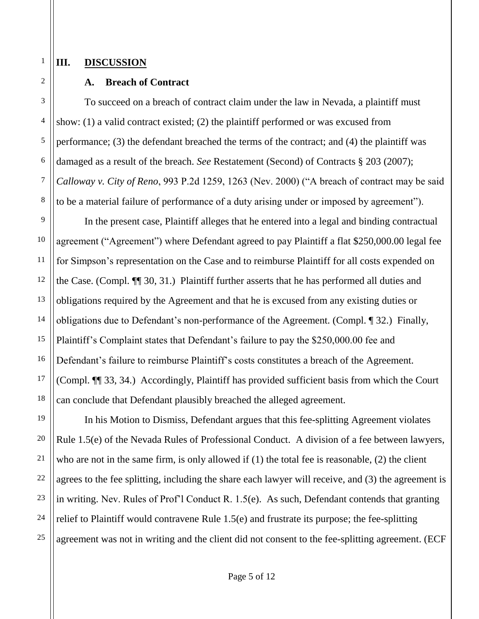### **III. DISCUSSION**

## **A. Breach of Contract**

To succeed on a breach of contract claim under the law in Nevada, a plaintiff must show: (1) a valid contract existed; (2) the plaintiff performed or was excused from performance; (3) the defendant breached the terms of the contract; and (4) the plaintiff was damaged as a result of the breach. *See* Restatement (Second) of Contracts § 203 (2007); *Calloway v. City of Reno*, 993 P.2d 1259, 1263 (Nev. 2000) ("A breach of contract may be said to be a material failure of performance of a duty arising under or imposed by agreement").

In the present case, Plaintiff alleges that he entered into a legal and binding contractual agreement ("Agreement") where Defendant agreed to pay Plaintiff a flat \$250,000.00 legal fee for Simpson's representation on the Case and to reimburse Plaintiff for all costs expended on the Case. (Compl. ¶¶ 30, 31.) Plaintiff further asserts that he has performed all duties and obligations required by the Agreement and that he is excused from any existing duties or obligations due to Defendant's non-performance of the Agreement. (Compl. ¶ 32.) Finally, Plaintiff's Complaint states that Defendant's failure to pay the \$250,000.00 fee and Defendant's failure to reimburse Plaintiff's costs constitutes a breach of the Agreement. (Compl. ¶¶ 33, 34.) Accordingly, Plaintiff has provided sufficient basis from which the Court can conclude that Defendant plausibly breached the alleged agreement.

In his Motion to Dismiss, Defendant argues that this fee-splitting Agreement violates Rule 1.5(e) of the Nevada Rules of Professional Conduct. A division of a fee between lawyers, who are not in the same firm, is only allowed if (1) the total fee is reasonable, (2) the client agrees to the fee splitting, including the share each lawyer will receive, and (3) the agreement is in writing. Nev. Rules of Prof'l Conduct R. 1.5(e). As such, Defendant contends that granting relief to Plaintiff would contravene Rule 1.5(e) and frustrate its purpose; the fee-splitting agreement was not in writing and the client did not consent to the fee-splitting agreement. (ECF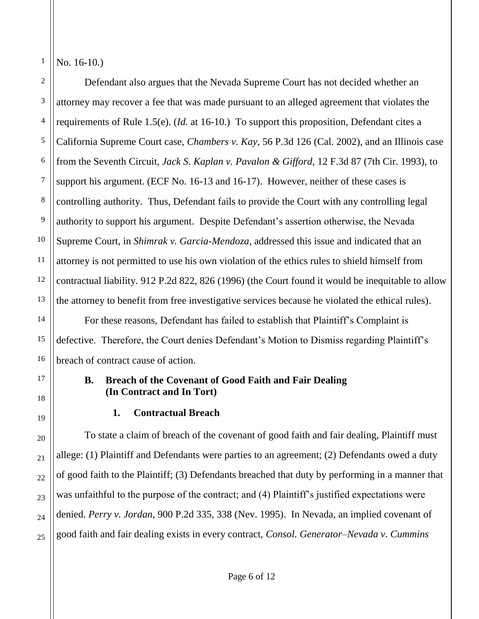1 No. 16-10.)

Defendant also argues that the Nevada Supreme Court has not decided whether an attorney may recover a fee that was made pursuant to an alleged agreement that violates the requirements of Rule 1.5(e). (*Id.* at 16-10.) To support this proposition, Defendant cites a California Supreme Court case, *Chambers v. Kay*, 56 P.3d 126 (Cal. 2002), and an Illinois case from the Seventh Circuit, *Jack S. Kaplan v. Pavalon & Gifford*, 12 F.3d 87 (7th Cir. 1993), to support his argument. (ECF No. 16-13 and 16-17). However, neither of these cases is controlling authority. Thus, Defendant fails to provide the Court with any controlling legal authority to support his argument. Despite Defendant's assertion otherwise, the Nevada Supreme Court, in *Shimrak v. Garcia-Mendoza*, addressed this issue and indicated that an attorney is not permitted to use his own violation of the ethics rules to shield himself from contractual liability. 912 P.2d 822, 826 (1996) (the Court found it would be inequitable to allow the attorney to benefit from free investigative services because he violated the ethical rules).

For these reasons, Defendant has failed to establish that Plaintiff's Complaint is defective. Therefore, the Court denies Defendant's Motion to Dismiss regarding Plaintiff's breach of contract cause of action.

## **B. Breach of the Covenant of Good Faith and Fair Dealing (In Contract and In Tort)**

# **1. Contractual Breach**

To state a claim of breach of the covenant of good faith and fair dealing, Plaintiff must allege: (1) Plaintiff and Defendants were parties to an agreement; (2) Defendants owed a duty of good faith to the Plaintiff; (3) Defendants breached that duty by performing in a manner that was unfaithful to the purpose of the contract; and (4) Plaintiff's justified expectations were denied. *Perry v. Jordan*, 900 P.2d 335, 338 (Nev. 1995). In Nevada, an implied covenant of good faith and fair dealing exists in every contract, *Consol. Generator–Nevada v. Cummins*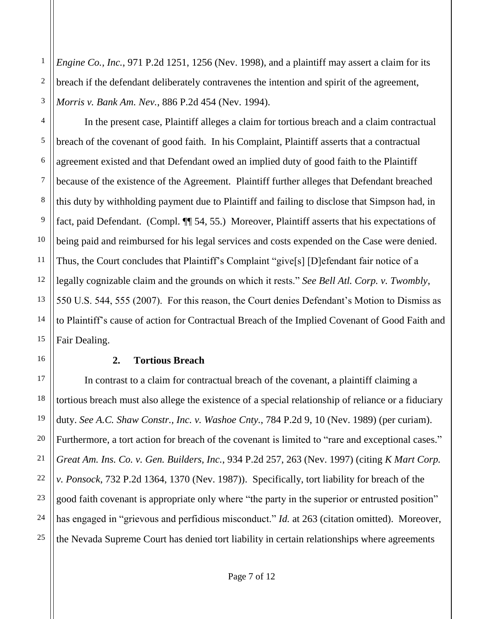*Engine Co., Inc.*, 971 P.2d 1251, 1256 (Nev. 1998), and a plaintiff may assert a claim for its breach if the defendant deliberately contravenes the intention and spirit of the agreement, *Morris v. Bank Am. Nev.*, 886 P.2d 454 (Nev. 1994).

In the present case, Plaintiff alleges a claim for tortious breach and a claim contractual breach of the covenant of good faith.In his Complaint, Plaintiff asserts that a contractual agreement existed and that Defendant owed an implied duty of good faith to the Plaintiff because of the existence of the Agreement. Plaintiff further alleges that Defendant breached this duty by withholding payment due to Plaintiff and failing to disclose that Simpson had, in fact, paid Defendant. (Compl. ¶¶ 54, 55.) Moreover, Plaintiff asserts that his expectations of being paid and reimbursed for his legal services and costs expended on the Case were denied. Thus, the Court concludes that Plaintiff's Complaint "give[s] [D]efendant fair notice of a legally cognizable claim and the grounds on which it rests." *See Bell Atl. Corp. v. Twombly*, 550 U.S. 544, 555 (2007). For this reason, the Court denies Defendant's Motion to Dismiss as to Plaintiff's cause of action for Contractual Breach of the Implied Covenant of Good Faith and Fair Dealing.

#### **2. Tortious Breach**

In contrast to a claim for contractual breach of the covenant, a plaintiff claiming a tortious breach must also allege the existence of a special relationship of reliance or a fiduciary duty. *See A.C. Shaw Constr., Inc. v. Washoe Cnty.*, 784 P.2d 9, 10 (Nev. 1989) (per curiam). Furthermore, a tort action for breach of the covenant is limited to "rare and exceptional cases." *Great Am. Ins. Co. v. Gen. Builders, Inc.*, 934 P.2d 257, 263 (Nev. 1997) (citing *K Mart Corp. v. Ponsock*, 732 P.2d 1364, 1370 (Nev. 1987)). Specifically, tort liability for breach of the good faith covenant is appropriate only where "the party in the superior or entrusted position" has engaged in "grievous and perfidious misconduct." *Id.* at 263 (citation omitted). Moreover, the Nevada Supreme Court has denied tort liability in certain relationships where agreements

1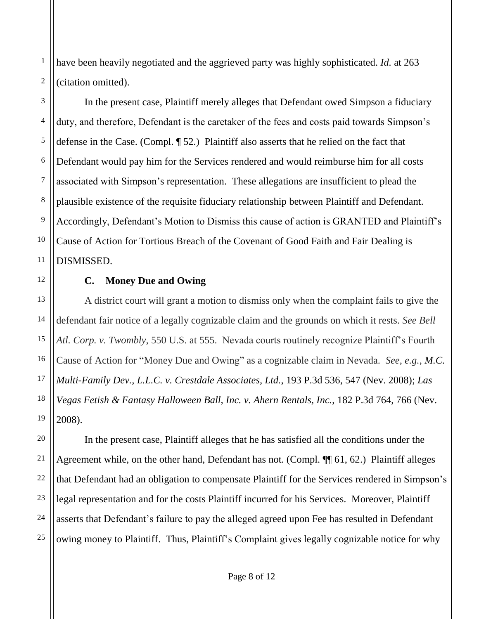have been heavily negotiated and the aggrieved party was highly sophisticated. *Id.* at 263 (citation omitted).

In the present case, Plaintiff merely alleges that Defendant owed Simpson a fiduciary duty, and therefore, Defendant is the caretaker of the fees and costs paid towards Simpson's defense in the Case. (Compl. ¶ 52.) Plaintiff also asserts that he relied on the fact that Defendant would pay him for the Services rendered and would reimburse him for all costs associated with Simpson's representation. These allegations are insufficient to plead the plausible existence of the requisite fiduciary relationship between Plaintiff and Defendant. Accordingly, Defendant's Motion to Dismiss this cause of action is GRANTED and Plaintiff's Cause of Action for Tortious Breach of the Covenant of Good Faith and Fair Dealing is DISMISSED.

**C. Money Due and Owing**

A district court will grant a motion to dismiss only when the complaint fails to give the defendant fair notice of a legally cognizable claim and the grounds on which it rests. *See Bell Atl. Corp. v. Twombly*, 550 U.S. at 555. Nevada courts routinely recognize Plaintiff's Fourth Cause of Action for "Money Due and Owing" as a cognizable claim in Nevada. *See, e.g.*, *M.C. Multi-Family Dev., L.L.C. v. Crestdale Associates, Ltd.*, 193 P.3d 536, 547 (Nev. 2008); *Las Vegas Fetish & Fantasy Halloween Ball, Inc. v. Ahern Rentals, Inc.*, 182 P.3d 764, 766 (Nev. 2008).

In the present case, Plaintiff alleges that he has satisfied all the conditions under the Agreement while, on the other hand, Defendant has not. (Compl. ¶ 61, 62.) Plaintiff alleges that Defendant had an obligation to compensate Plaintiff for the Services rendered in Simpson's legal representation and for the costs Plaintiff incurred for his Services. Moreover, Plaintiff asserts that Defendant's failure to pay the alleged agreed upon Fee has resulted in Defendant owing money to Plaintiff. Thus, Plaintiff's Complaint gives legally cognizable notice for why

1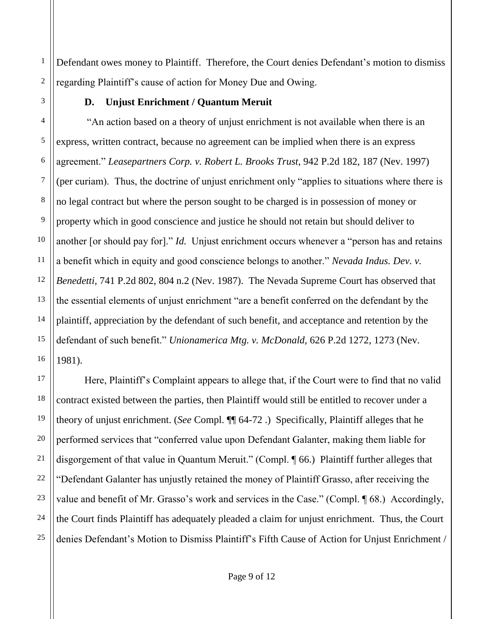2 Defendant owes money to Plaintiff. Therefore, the Court denies Defendant's motion to dismiss regarding Plaintiff's cause of action for Money Due and Owing.

## **D. Unjust Enrichment / Quantum Meruit**

1

3

5

7

8

9

11

17

18

19

20

21

23

24

25

4 6 10 12 13 14 15 16 "An action based on a theory of unjust enrichment is not available when there is an express, written contract, because no agreement can be implied when there is an express agreement." *Leasepartners Corp. v. Robert L. Brooks Trust*, 942 P.2d 182, 187 (Nev. 1997) (per curiam). Thus, the doctrine of unjust enrichment only "applies to situations where there is no legal contract but where the person sought to be charged is in possession of money or property which in good conscience and justice he should not retain but should deliver to another [or should pay for]." *Id.* Unjust enrichment occurs whenever a "person has and retains a benefit which in equity and good conscience belongs to another." *Nevada Indus. Dev. v. Benedetti,* 741 P.2d 802, 804 n.2 (Nev. 1987). The Nevada Supreme Court has observed that the essential elements of unjust enrichment "are a benefit conferred on the defendant by the plaintiff, appreciation by the defendant of such benefit, and acceptance and retention by the defendant of such benefit." *Unionamerica Mtg. v. McDonald,* 626 P.2d 1272, 1273 (Nev. 1981).

22 Here, Plaintiff's Complaint appears to allege that, if the Court were to find that no valid contract existed between the parties, then Plaintiff would still be entitled to recover under a theory of unjust enrichment. (*See* Compl. ¶¶ 64-72 .) Specifically, Plaintiff alleges that he performed services that "conferred value upon Defendant Galanter, making them liable for disgorgement of that value in Quantum Meruit." (Compl. ¶ 66.) Plaintiff further alleges that "Defendant Galanter has unjustly retained the money of Plaintiff Grasso, after receiving the value and benefit of Mr. Grasso's work and services in the Case." (Compl. 168.) Accordingly, the Court finds Plaintiff has adequately pleaded a claim for unjust enrichment. Thus, the Court denies Defendant's Motion to Dismiss Plaintiff's Fifth Cause of Action for Unjust Enrichment /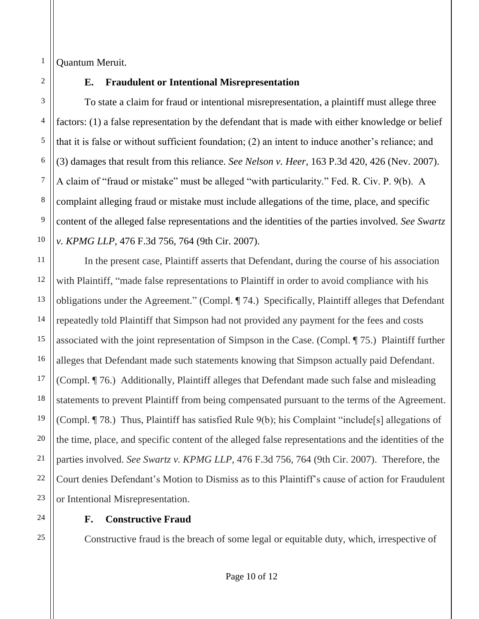Quantum Meruit.

1

## **E. Fraudulent or Intentional Misrepresentation**

To state a claim for fraud or intentional misrepresentation, a plaintiff must allege three factors: (1) a false representation by the defendant that is made with either knowledge or belief that it is false or without sufficient foundation; (2) an intent to induce another's reliance; and (3) damages that result from this reliance. *See Nelson v. Heer*, 163 P.3d 420, 426 (Nev. 2007). A claim of "fraud or mistake" must be alleged "with particularity." Fed. R. Civ. P. 9(b). A complaint alleging fraud or mistake must include allegations of the time, place, and specific content of the alleged false representations and the identities of the parties involved. *See Swartz v. KPMG LLP*, 476 F.3d 756, 764 (9th Cir. 2007).

In the present case, Plaintiff asserts that Defendant, during the course of his association with Plaintiff, "made false representations to Plaintiff in order to avoid compliance with his obligations under the Agreement." (Compl. ¶ 74.) Specifically, Plaintiff alleges that Defendant repeatedly told Plaintiff that Simpson had not provided any payment for the fees and costs associated with the joint representation of Simpson in the Case. (Compl. ¶ 75.) Plaintiff further alleges that Defendant made such statements knowing that Simpson actually paid Defendant. (Compl. ¶ 76.) Additionally, Plaintiff alleges that Defendant made such false and misleading statements to prevent Plaintiff from being compensated pursuant to the terms of the Agreement. (Compl. ¶ 78.) Thus, Plaintiff has satisfied Rule 9(b); his Complaint "include[s] allegations of the time, place, and specific content of the alleged false representations and the identities of the parties involved. *See Swartz v. KPMG LLP*, 476 F.3d 756, 764 (9th Cir. 2007). Therefore, the Court denies Defendant's Motion to Dismiss as to this Plaintiff's cause of action for Fraudulent or Intentional Misrepresentation.

# **F. Constructive Fraud**

Constructive fraud is the breach of some legal or equitable duty, which, irrespective of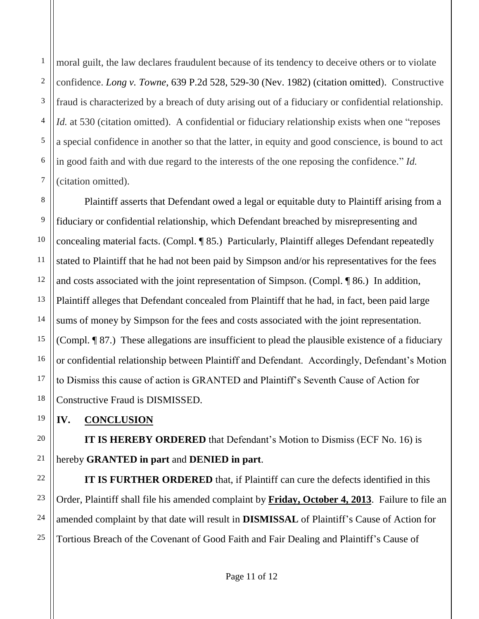1 2 3 4 5 moral guilt, the law declares fraudulent because of its tendency to deceive others or to violate confidence. *Long v. Towne*, 639 P.2d 528, 529-30 (Nev. 1982) (citation omitted). Constructive fraud is characterized by a breach of duty arising out of a fiduciary or confidential relationship. *Id.* at 530 (citation omitted). A confidential or fiduciary relationship exists when one "reposes" a special confidence in another so that the latter, in equity and good conscience, is bound to act in good faith and with due regard to the interests of the one reposing the confidence." *Id.* (citation omitted).

Plaintiff asserts that Defendant owed a legal or equitable duty to Plaintiff arising from a fiduciary or confidential relationship, which Defendant breached by misrepresenting and concealing material facts. (Compl. ¶ 85.) Particularly, Plaintiff alleges Defendant repeatedly stated to Plaintiff that he had not been paid by Simpson and/or his representatives for the fees and costs associated with the joint representation of Simpson. (Compl. ¶ 86.) In addition, Plaintiff alleges that Defendant concealed from Plaintiff that he had, in fact, been paid large sums of money by Simpson for the fees and costs associated with the joint representation. (Compl. ¶ 87.) These allegations are insufficient to plead the plausible existence of a fiduciary or confidential relationship between Plaintiff and Defendant. Accordingly, Defendant's Motion to Dismiss this cause of action is GRANTED and Plaintiff's Seventh Cause of Action for Constructive Fraud is DISMISSED.

# **IV. CONCLUSION**

**IT IS HEREBY ORDERED** that Defendant's Motion to Dismiss (ECF No. 16) is hereby **GRANTED in part** and **DENIED in part**.

**IT IS FURTHER ORDERED** that, if Plaintiff can cure the defects identified in this Order, Plaintiff shall file his amended complaint by **Friday, October 4, 2013**. Failure to file an amended complaint by that date will result in **DISMISSAL** of Plaintiff's Cause of Action for Tortious Breach of the Covenant of Good Faith and Fair Dealing and Plaintiff's Cause of